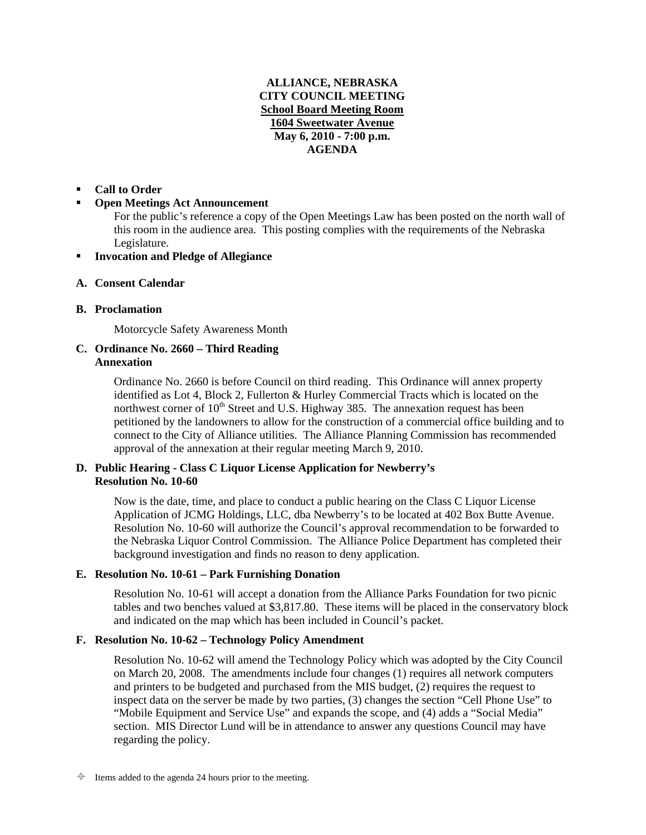# **ALLIANCE, NEBRASKA CITY COUNCIL MEETING School Board Meeting Room 1604 Sweetwater Avenue May 6, 2010 - 7:00 p.m. AGENDA**

## **Call to Order**

## **Open Meetings Act Announcement**

For the public's reference a copy of the Open Meetings Law has been posted on the north wall of this room in the audience area. This posting complies with the requirements of the Nebraska Legislature.

### **Invocation and Pledge of Allegiance**

#### **A. Consent Calendar**

#### **B. Proclamation**

Motorcycle Safety Awareness Month

## **C. Ordinance No. 2660 – Third Reading Annexation**

Ordinance No. 2660 is before Council on third reading. This Ordinance will annex property identified as Lot 4, Block 2, Fullerton & Hurley Commercial Tracts which is located on the northwest corner of  $10<sup>th</sup>$  Street and U.S. Highway 385. The annexation request has been petitioned by the landowners to allow for the construction of a commercial office building and to connect to the City of Alliance utilities. The Alliance Planning Commission has recommended approval of the annexation at their regular meeting March 9, 2010.

#### **D. Public Hearing - Class C Liquor License Application for Newberry's Resolution No. 10-60**

Now is the date, time, and place to conduct a public hearing on the Class C Liquor License Application of JCMG Holdings, LLC, dba Newberry's to be located at 402 Box Butte Avenue. Resolution No. 10-60 will authorize the Council's approval recommendation to be forwarded to the Nebraska Liquor Control Commission. The Alliance Police Department has completed their background investigation and finds no reason to deny application.

## **E. Resolution No. 10-61 – Park Furnishing Donation**

Resolution No. 10-61 will accept a donation from the Alliance Parks Foundation for two picnic tables and two benches valued at \$3,817.80. These items will be placed in the conservatory block and indicated on the map which has been included in Council's packet.

## **F. Resolution No. 10-62 – Technology Policy Amendment**

Resolution No. 10-62 will amend the Technology Policy which was adopted by the City Council on March 20, 2008. The amendments include four changes (1) requires all network computers and printers to be budgeted and purchased from the MIS budget, (2) requires the request to inspect data on the server be made by two parties, (3) changes the section "Cell Phone Use" to "Mobile Equipment and Service Use" and expands the scope, and (4) adds a "Social Media" section. MIS Director Lund will be in attendance to answer any questions Council may have regarding the policy.